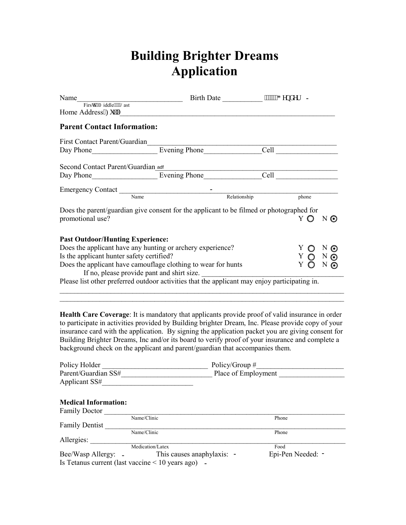## **Building Brighter Dreams Application**

| Name                                                                                                        | Firsv""O iddle"""Nast                                                                         | Birth Date ______________ """""I gpf gt |                           |
|-------------------------------------------------------------------------------------------------------------|-----------------------------------------------------------------------------------------------|-----------------------------------------|---------------------------|
| Home Address*Hwn+                                                                                           |                                                                                               |                                         |                           |
| <b>Parent Contact Information:</b>                                                                          |                                                                                               |                                         |                           |
| <b>First Contact Parent/Guardian</b>                                                                        |                                                                                               |                                         |                           |
|                                                                                                             | Day Phone Evening Phone                                                                       |                                         |                           |
| Second Contact Parent/Guardian adf                                                                          |                                                                                               |                                         |                           |
|                                                                                                             |                                                                                               |                                         | <b>Cell</b> Communication |
|                                                                                                             |                                                                                               |                                         |                           |
|                                                                                                             | Emergency Contact Name                                                                        | Relationship                            | phone                     |
|                                                                                                             | Does the parent/guardian give consent for the applicant to be filmed or photographed for      |                                         |                           |
| promotional use?                                                                                            |                                                                                               |                                         | Y O NO                    |
| <b>Past Outdoor/Hunting Experience:</b>                                                                     |                                                                                               |                                         |                           |
|                                                                                                             | Does the applicant have any hunting or archery experience?                                    |                                         |                           |
| Is the applicant hunter safety certified?                                                                   | $\begin{array}{cccc}\nY & O & N & O \\ Y & O & N & O\n\end{array}$                            |                                         |                           |
| Does the applicant have camouflage clothing to wear for hunts<br>If no, please provide pant and shirt size. | Y O N O                                                                                       |                                         |                           |
|                                                                                                             | Please list other preferred outdoor activities that the applicant may enjoy participating in. |                                         |                           |

**Health Care Coverage**: It is mandatory that applicants provide proof of valid insurance in order to participate in activities provided by Building brighter Dream, Inc. Please provide copy of your insurance card with the application. By signing the application packet you are giving consent for Building Brighter Dreams, Inc and/or its board to verify proof of your insurance and complete a background check on the applicant and parent/guardian that accompanies them.

 $\mathcal{L}_\mathcal{L} = \{ \mathcal{L}_\mathcal{L} = \{ \mathcal{L}_\mathcal{L} = \{ \mathcal{L}_\mathcal{L} = \{ \mathcal{L}_\mathcal{L} = \{ \mathcal{L}_\mathcal{L} = \{ \mathcal{L}_\mathcal{L} = \{ \mathcal{L}_\mathcal{L} = \{ \mathcal{L}_\mathcal{L} = \{ \mathcal{L}_\mathcal{L} = \{ \mathcal{L}_\mathcal{L} = \{ \mathcal{L}_\mathcal{L} = \{ \mathcal{L}_\mathcal{L} = \{ \mathcal{L}_\mathcal{L} = \{ \mathcal{L}_\mathcal{$ 

| Policy Holder                                         |                            | Policy/Group $#$    |
|-------------------------------------------------------|----------------------------|---------------------|
| Parent/Guardian SS#                                   |                            | Place of Employment |
| Applicant SS#                                         |                            |                     |
|                                                       |                            |                     |
| <b>Medical Information:</b>                           |                            |                     |
| <b>Family Doctor</b>                                  |                            |                     |
|                                                       | Name/Clinic                | Phone               |
| <b>Family Dentist</b>                                 |                            |                     |
|                                                       | Name/Clinic                | Phone               |
| Allergies:                                            |                            |                     |
|                                                       | Medication/Latex           | Food                |
| Bee/Wasp Allergy: -                                   | This causes anaphylaxis: - | Epi-Pen Needed: -   |
| Is Tetanus current (last vaccine $\leq 10$ years ago) |                            |                     |